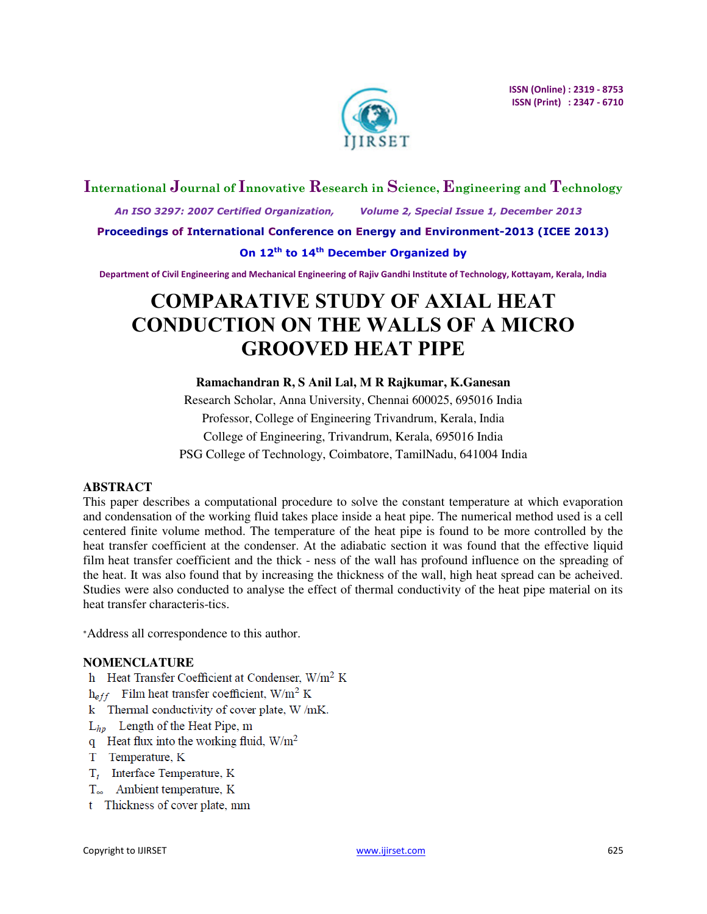

# **International Journal of Innovative Research in Science, Engineering and Technology**

 *An ISO 3297: 2007 Certified Organization, Volume 2, Special Issue 1, December 2013* 

**Proceedings of International Conference on Energy and Environment-2013 (ICEE 2013)** 

# **On 12th to 14th December Organized by**

**Department of Civil Engineering and Mechanical Engineering of Rajiv Gandhi Institute of Technology, Kottayam, Kerala, India** 

# **COMPARATIVE STUDY OF AXIAL HEAT CONDUCTION ON THE WALLS OF A MICRO GROOVED HEAT PIPE**

# **Ramachandran R, S Anil Lal, M R Rajkumar, K.Ganesan**

Research Scholar, Anna University, Chennai 600025, 695016 India Professor, College of Engineering Trivandrum, Kerala, India College of Engineering, Trivandrum, Kerala, 695016 India PSG College of Technology, Coimbatore, TamilNadu, 641004 India

# **ABSTRACT**

This paper describes a computational procedure to solve the constant temperature at which evaporation and condensation of the working fluid takes place inside a heat pipe. The numerical method used is a cell centered finite volume method. The temperature of the heat pipe is found to be more controlled by the heat transfer coefficient at the condenser. At the adiabatic section it was found that the effective liquid film heat transfer coefficient and the thick - ness of the wall has profound influence on the spreading of the heat. It was also found that by increasing the thickness of the wall, high heat spread can be acheived. Studies were also conducted to analyse the effect of thermal conductivity of the heat pipe material on its heat transfer characteris-tics.

<sup>∗</sup>Address all correspondence to this author.

# **NOMENCLATURE**

- h Heat Transfer Coefficient at Condenser, W/m<sup>2</sup> K
- $h_{eff}$  Film heat transfer coefficient, W/m<sup>2</sup> K
- k Thermal conductivity of cover plate, W/mK.
- $L_{hn}$  Length of the Heat Pipe, m
- q Heat flux into the working fluid,  $W/m^2$
- T Temperature, K
- $T_i$  Interface Temperature, K
- T<sub>∞</sub> Ambient temperature, K
- t Thickness of cover plate, mm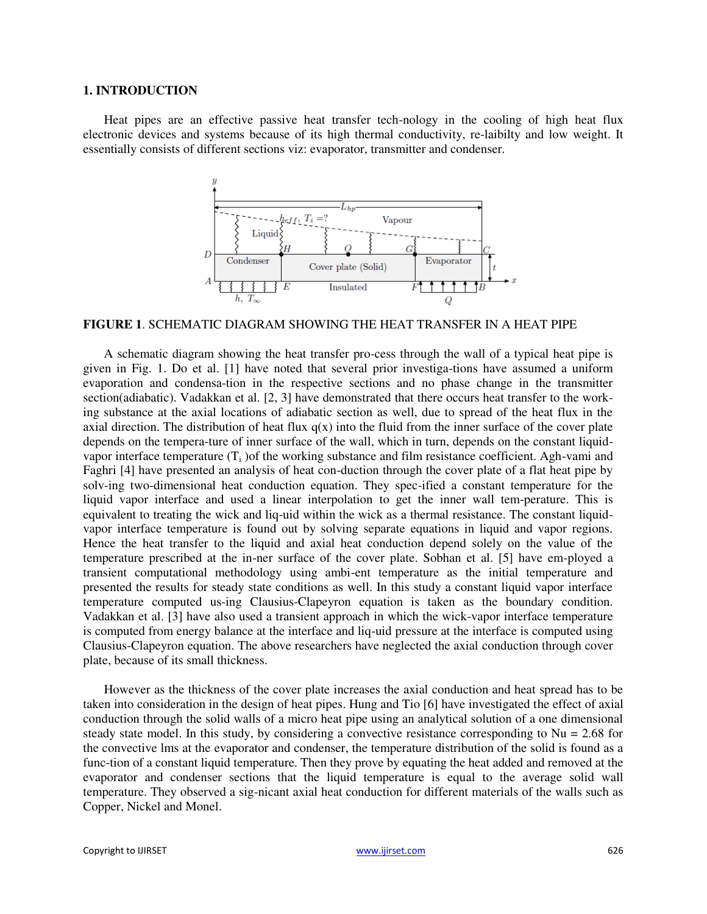#### **1. INTRODUCTION**

Heat pipes are an effective passive heat transfer tech-nology in the cooling of high heat flux electronic devices and systems because of its high thermal conductivity, re-laibilty and low weight. It essentially consists of different sections viz: evaporator, transmitter and condenser.



**FIGURE 1**. SCHEMATIC DIAGRAM SHOWING THE HEAT TRANSFER IN A HEAT PIPE

A schematic diagram showing the heat transfer pro-cess through the wall of a typical heat pipe is given in Fig. 1. Do et al. [1] have noted that several prior investiga-tions have assumed a uniform evaporation and condensa-tion in the respective sections and no phase change in the transmitter section(adiabatic). Vadakkan et al. [2, 3] have demonstrated that there occurs heat transfer to the working substance at the axial locations of adiabatic section as well, due to spread of the heat flux in the axial direction. The distribution of heat flux  $q(x)$  into the fluid from the inner surface of the cover plate depends on the tempera-ture of inner surface of the wall, which in turn, depends on the constant liquidvapor interface temperature  $(T_i)$  of the working substance and film resistance coefficient. Agh-vami and Faghri [4] have presented an analysis of heat con-duction through the cover plate of a flat heat pipe by solv-ing two-dimensional heat conduction equation. They spec-ified a constant temperature for the liquid vapor interface and used a linear interpolation to get the inner wall tem-perature. This is equivalent to treating the wick and liq-uid within the wick as a thermal resistance. The constant liquidvapor interface temperature is found out by solving separate equations in liquid and vapor regions. Hence the heat transfer to the liquid and axial heat conduction depend solely on the value of the temperature prescribed at the in-ner surface of the cover plate. Sobhan et al. [5] have em-ployed a transient computational methodology using ambi-ent temperature as the initial temperature and presented the results for steady state conditions as well. In this study a constant liquid vapor interface temperature computed us-ing Clausius-Clapeyron equation is taken as the boundary condition. Vadakkan et al. [3] have also used a transient approach in which the wick-vapor interface temperature is computed from energy balance at the interface and liq-uid pressure at the interface is computed using Clausius-Clapeyron equation. The above researchers have neglected the axial conduction through cover plate, because of its small thickness.

However as the thickness of the cover plate increases the axial conduction and heat spread has to be taken into consideration in the design of heat pipes. Hung and Tio [6] have investigated the effect of axial conduction through the solid walls of a micro heat pipe using an analytical solution of a one dimensional steady state model. In this study, by considering a convective resistance corresponding to  $Nu = 2.68$  for the convective lms at the evaporator and condenser, the temperature distribution of the solid is found as a func-tion of a constant liquid temperature. Then they prove by equating the heat added and removed at the evaporator and condenser sections that the liquid temperature is equal to the average solid wall temperature. They observed a sig-nicant axial heat conduction for different materials of the walls such as Copper, Nickel and Monel.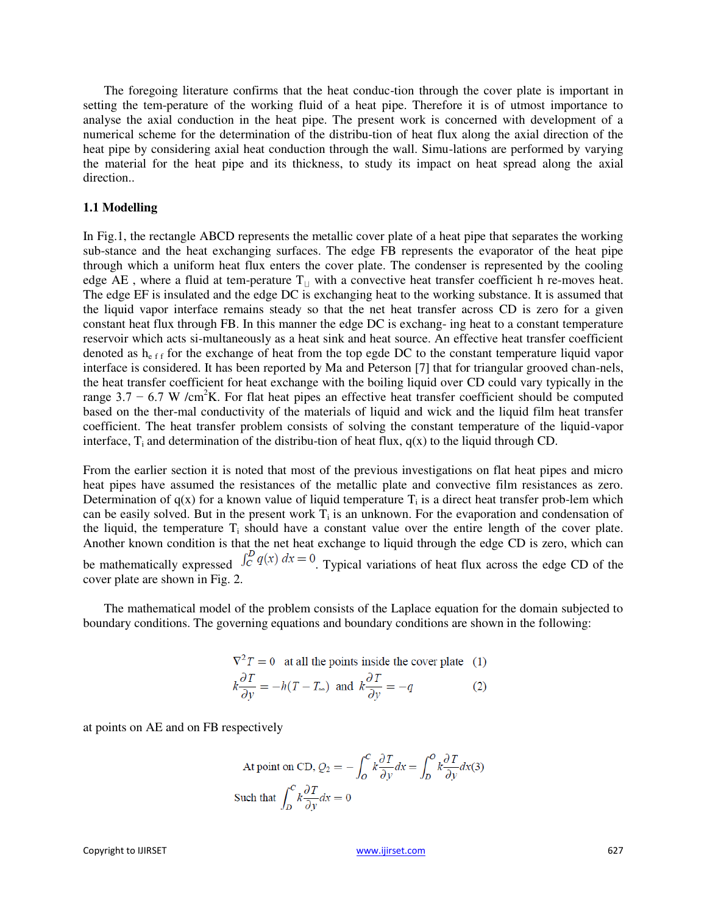The foregoing literature confirms that the heat conduc-tion through the cover plate is important in setting the tem-perature of the working fluid of a heat pipe. Therefore it is of utmost importance to analyse the axial conduction in the heat pipe. The present work is concerned with development of a numerical scheme for the determination of the distribu-tion of heat flux along the axial direction of the heat pipe by considering axial heat conduction through the wall. Simu-lations are performed by varying the material for the heat pipe and its thickness, to study its impact on heat spread along the axial direction..

#### **1.1 Modelling**

In Fig.1, the rectangle ABCD represents the metallic cover plate of a heat pipe that separates the working sub-stance and the heat exchanging surfaces. The edge FB represents the evaporator of the heat pipe through which a uniform heat flux enters the cover plate. The condenser is represented by the cooling edge AE, where a fluid at tem-perature  $T_{\perp}$  with a convective heat transfer coefficient h re-moves heat. The edge EF is insulated and the edge DC is exchanging heat to the working substance. It is assumed that the liquid vapor interface remains steady so that the net heat transfer across CD is zero for a given constant heat flux through FB. In this manner the edge DC is exchang- ing heat to a constant temperature reservoir which acts si-multaneously as a heat sink and heat source. An effective heat transfer coefficient denoted as  $h_{eff}$  for the exchange of heat from the top egde DC to the constant temperature liquid vapor interface is considered. It has been reported by Ma and Peterson [7] that for triangular grooved chan-nels, the heat transfer coefficient for heat exchange with the boiling liquid over CD could vary typically in the range  $3.7 - 6.7$  W /cm<sup>2</sup>K. For flat heat pipes an effective heat transfer coefficient should be computed based on the ther-mal conductivity of the materials of liquid and wick and the liquid film heat transfer coefficient. The heat transfer problem consists of solving the constant temperature of the liquid-vapor interface,  $T_i$  and determination of the distribu-tion of heat flux,  $q(x)$  to the liquid through CD.

From the earlier section it is noted that most of the previous investigations on flat heat pipes and micro heat pipes have assumed the resistances of the metallic plate and convective film resistances as zero. Determination of  $q(x)$  for a known value of liquid temperature  $T_i$  is a direct heat transfer prob-lem which can be easily solved. But in the present work  $T_i$  is an unknown. For the evaporation and condensation of the liquid, the temperature  $T_i$  should have a constant value over the entire length of the cover plate. Another known condition is that the net heat exchange to liquid through the edge CD is zero, which can be mathematically expressed  $\int_C^D q(x) dx = 0$ . Typical variations of heat flux across the edge CD of the cover plate are shown in Fig. 2.

The mathematical model of the problem consists of the Laplace equation for the domain subjected to boundary conditions. The governing equations and boundary conditions are shown in the following:

$$
\nabla^2 T = 0
$$
 at all the points inside the cover plate (1)  

$$
k \frac{\partial T}{\partial v} = -h(T - T_{\infty})
$$
 and 
$$
k \frac{\partial T}{\partial v} = -q
$$
 (2)

at points on AE and on FB respectively

At point on CD, 
$$
Q_2 = -\int_0^C k \frac{\partial T}{\partial y} dx = \int_D^O k \frac{\partial T}{\partial y} dx(3)
$$
  
Such that  $\int_D^C k \frac{\partial T}{\partial y} dx = 0$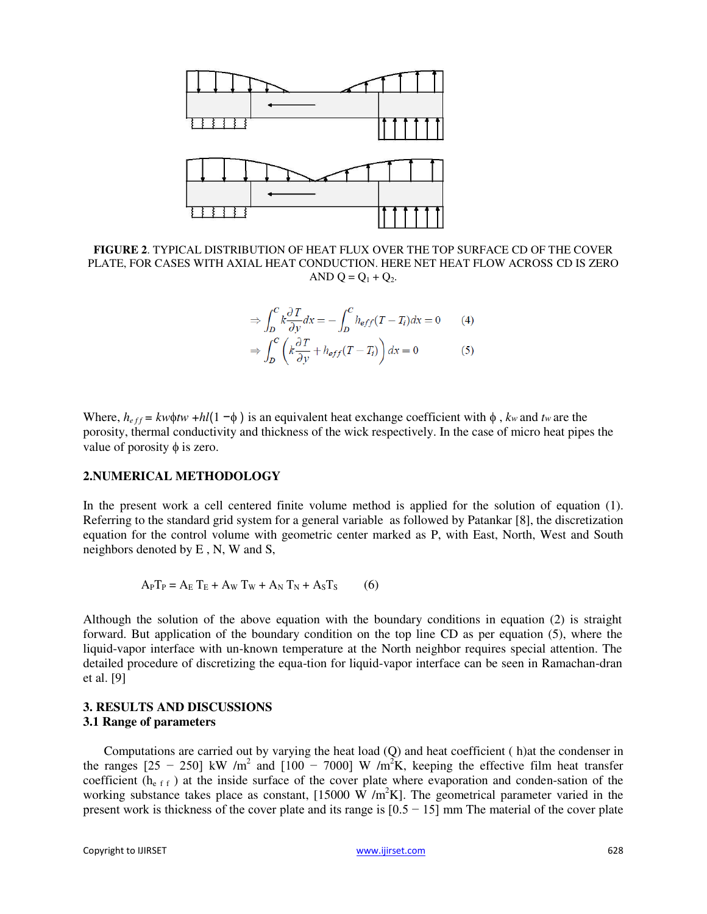

**FIGURE 2**. TYPICAL DISTRIBUTION OF HEAT FLUX OVER THE TOP SURFACE CD OF THE COVER PLATE, FOR CASES WITH AXIAL HEAT CONDUCTION. HERE NET HEAT FLOW ACROSS CD IS ZERO AND  $Q = Q_1 + Q_2$ .

$$
\Rightarrow \int_{D}^{C} k \frac{\partial T}{\partial y} dx = -\int_{D}^{C} h_{eff} (T - T_i) dx = 0 \qquad (4)
$$

$$
\Rightarrow \int_{D}^{C} \left( k \frac{\partial T}{\partial y} + h_{eff} (T - T_i) \right) dx = 0 \qquad (5)
$$

Where,  $h_{eff} = k w \phi t w + h l (1 - \phi)$  is an equivalent heat exchange coefficient with  $\phi$ , *kw* and *tw* are the porosity, thermal conductivity and thickness of the wick respectively. In the case of micro heat pipes the value of porosity  $\phi$  is zero.

## **2.NUMERICAL METHODOLOGY**

In the present work a cell centered finite volume method is applied for the solution of equation (1). Referring to the standard grid system for a general variable as followed by Patankar [8], the discretization equation for the control volume with geometric center marked as P, with East, North, West and South neighbors denoted by E , N, W and S,

$$
APTP = AE TE + AW TW + AN TN + ASTS
$$
 (6)

Although the solution of the above equation with the boundary conditions in equation (2) is straight forward. But application of the boundary condition on the top line CD as per equation (5), where the liquid-vapor interface with un-known temperature at the North neighbor requires special attention. The detailed procedure of discretizing the equa-tion for liquid-vapor interface can be seen in Ramachan-dran et al. [9]

## **3. RESULTS AND DISCUSSIONS 3.1 Range of parameters**

Computations are carried out by varying the heat load (Q) and heat coefficient ( h)at the condenser in the ranges  $[25 - 250]$  kW /m<sup>2</sup> and  $[100 - 7000]$  W /m<sup>2</sup>K, keeping the effective film heat transfer coefficient  $(h_{eff})$  at the inside surface of the cover plate where evaporation and conden-sation of the working substance takes place as constant, [15000 W /m<sup>2</sup>K]. The geometrical parameter varied in the present work is thickness of the cover plate and its range is  $[0.5 - 15]$  mm The material of the cover plate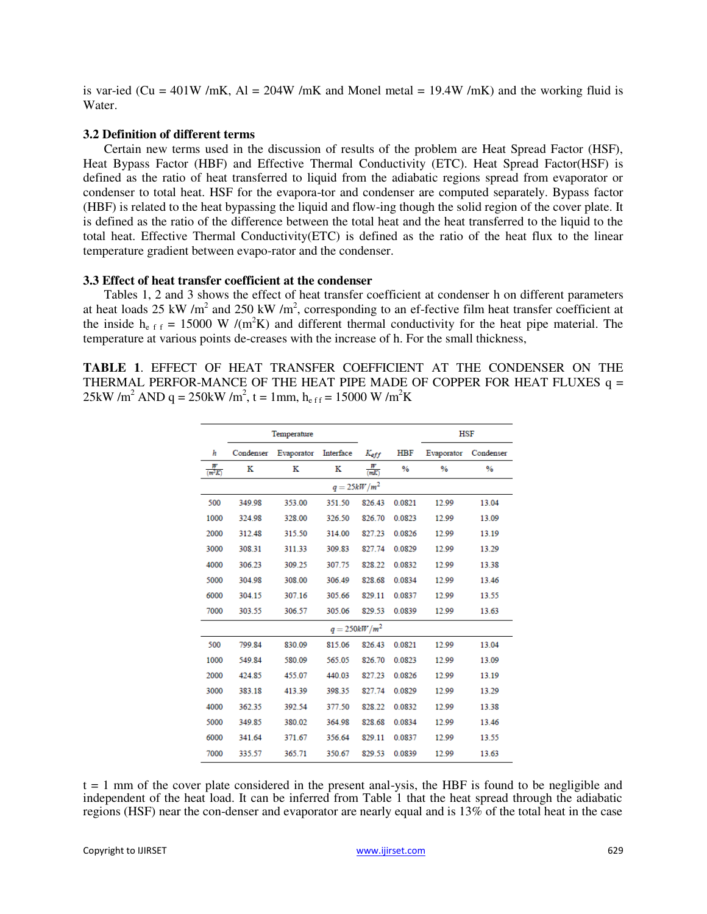is var-ied (Cu = 401W /mK, Al = 204W /mK and Monel metal = 19.4W /mK) and the working fluid is Water.

#### **3.2 Definition of different terms**

Certain new terms used in the discussion of results of the problem are Heat Spread Factor (HSF), Heat Bypass Factor (HBF) and Effective Thermal Conductivity (ETC). Heat Spread Factor(HSF) is defined as the ratio of heat transferred to liquid from the adiabatic regions spread from evaporator or condenser to total heat. HSF for the evapora-tor and condenser are computed separately. Bypass factor (HBF) is related to the heat bypassing the liquid and flow-ing though the solid region of the cover plate. It is defined as the ratio of the difference between the total heat and the heat transferred to the liquid to the total heat. Effective Thermal Conductivity(ETC) is defined as the ratio of the heat flux to the linear temperature gradient between evapo-rator and the condenser.

#### **3.3 Effect of heat transfer coefficient at the condenser**

Tables 1, 2 and 3 shows the effect of heat transfer coefficient at condenser h on different parameters at heat loads 25 kW /m<sup>2</sup> and 250 kW /m<sup>2</sup>, corresponding to an ef-fective film heat transfer coefficient at the inside  $h_{eff} = 15000 \text{ W } / (\text{m}^2 \text{K})$  and different thermal conductivity for the heat pipe material. The temperature at various points de-creases with the increase of h. For the small thickness,

**TABLE 1**. EFFECT OF HEAT TRANSFER COEFFICIENT AT THE CONDENSER ON THE THERMAL PERFOR-MANCE OF THE HEAT PIPE MADE OF COPPER FOR HEAT FLUXES  $q =$ 25kW /m<sup>2</sup> AND q = 250kW /m<sup>2</sup>, t = 1mm, h<sub>eff</sub> = 15000 W /m<sup>2</sup>K

|                    | Temperature |            |                 |                  |               | <b>HSF</b>    |               |  |  |
|--------------------|-------------|------------|-----------------|------------------|---------------|---------------|---------------|--|--|
| h                  | Condenser   | Evaporator | Interface       | $K_{\text{eff}}$ | <b>HBF</b>    | Evaporator    | Condenser     |  |  |
| $\frac{W}{(m^2K)}$ | K           | ĸ          | ĸ               | $\frac{W}{mK}$   | $\frac{9}{6}$ | $\frac{9}{6}$ | $\frac{9}{6}$ |  |  |
| $q=25kW/m^2$       |             |            |                 |                  |               |               |               |  |  |
| 500                | 349.98      | 353.00     | 351.50          | 826.43           | 0.0821        | 12.99         | 13.04         |  |  |
| 1000               | 324.98      | 328.00     | 326.50          | 826.70           | 0.0823        | 12.99         | 13.09         |  |  |
| 2000               | 312.48      | 315.50     | 314.00          | 827.23           | 0.0826        | 12.99         | 13.19         |  |  |
| 3000               | 308.31      | 311.33     | 309.83          | 827.74           | 0.0829        | 12.99         | 13.29         |  |  |
| 4000               | 306.23      | 309.25     | 307.75          | 828.22           | 0.0832        | 12.99         | 13.38         |  |  |
| 5000               | 304.98      | 308.00     | 306.49          | 828.68           | 0.0834        | 12.99         | 13.46         |  |  |
| 6000               | 304.15      | 307.16     | 305.66          | 829.11           | 0.0837        | 12.99         | 13.55         |  |  |
| 7000               | 303.55      | 306.57     | 305.06          | 829.53           | 0.0839        | 12.99         | 13.63         |  |  |
|                    |             |            | $q = 250kW/m^2$ |                  |               |               |               |  |  |
| 500                | 799.84      | 830.09     | 815.06          | 826.43           | 0.0821        | 12.99         | 13.04         |  |  |
| 1000               | 549.84      | 580.09     | 565.05          | 826.70           | 0.0823        | 12.99         | 13.09         |  |  |
| 2000               | 424.85      | 455.07     | 440.03          | 827.23           | 0.0826        | 12.99         | 13.19         |  |  |
| 3000               | 383.18      | 413.39     | 398.35          | 827.74           | 0.0829        | 12.99         | 13.29         |  |  |
| 4000               | 362.35      | 392.54     | 377.50          | 828.22           | 0.0832        | 12.99         | 13.38         |  |  |
| 5000               | 349.85      | 380.02     | 364.98          | 828.68           | 0.0834        | 12.99         | 13.46         |  |  |
| 6000               | 341.64      | 371.67     | 356.64          | 829.11           | 0.0837        | 12.99         | 13.55         |  |  |
| 7000               | 335.57      | 365.71     | 350.67          | 829.53           | 0.0839        | 12.99         | 13.63         |  |  |

 $t = 1$  mm of the cover plate considered in the present anal-ysis, the HBF is found to be negligible and independent of the heat load. It can be inferred from Table 1 that the heat spread through the adiabatic regions (HSF) near the con-denser and evaporator are nearly equal and is 13% of the total heat in the case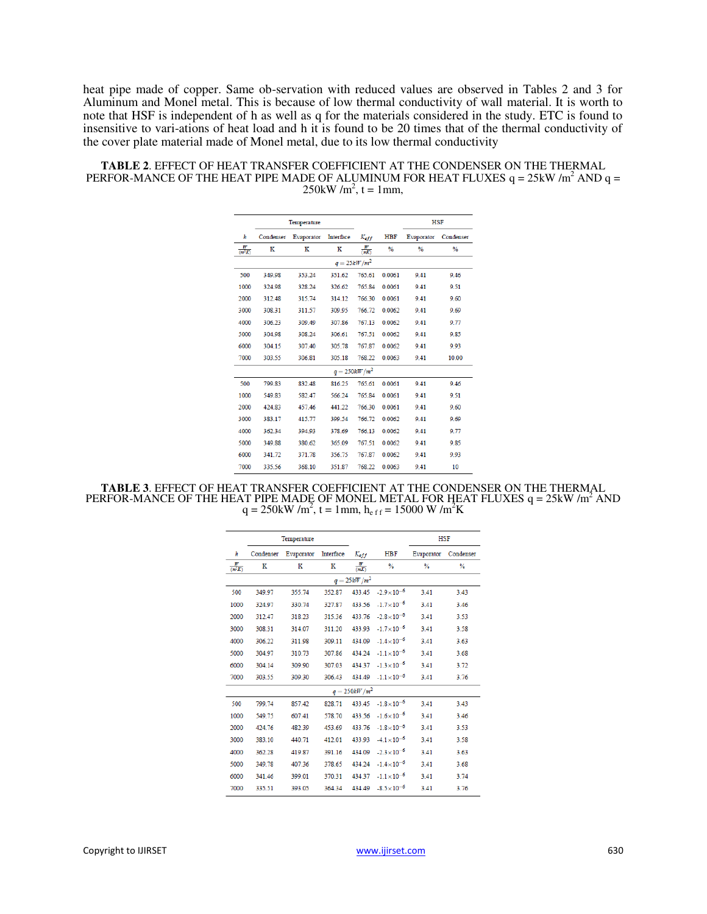heat pipe made of copper. Same ob-servation with reduced values are observed in Tables 2 and 3 for Aluminum and Monel metal. This is because of low thermal conductivity of wall material. It is worth to note that HSF is independent of h as well as q for the materials considered in the study. ETC is found to insensitive to vari-ations of heat load and h it is found to be 20 times that of the thermal conductivity of the cover plate material made of Monel metal, due to its low thermal conductivity

| <b>TABLE 2. EFFECT OF HEAT TRANSFER COEFFICIENT AT THE CONDENSER ON THE THERMAL</b>             |
|-------------------------------------------------------------------------------------------------|
| PERFOR-MANCE OF THE HEAT PIPE MADE OF ALUMINUM FOR HEAT FLUXES $q = 25 \text{kW/m}^2$ AND $q =$ |
| $250 \text{kW/m}^2$ , t = 1mm.                                                                  |

|                          | Temperature |            |                 | <b>HSF</b>     |               |               |               |  |  |
|--------------------------|-------------|------------|-----------------|----------------|---------------|---------------|---------------|--|--|
| h                        | Condenser   | Evaporator | Interface       | Keff           | <b>HBF</b>    | Evaporator    | Condenser     |  |  |
| ₩<br>$\overline{(m^2K)}$ | ĸ           | к          | ĸ               | $\frac{W}{mK}$ | $\frac{0}{6}$ | $\frac{0}{6}$ | $\frac{0}{2}$ |  |  |
| $q=25kW/m^2$             |             |            |                 |                |               |               |               |  |  |
| 500                      | 349 98      | 353.24     | 351.62          | 765 61         | 0.0061        | 941           | 946           |  |  |
| 1000                     | 324.98      | 328.24     | 326.62          | 765.84         | 0.0061        | 9.41          | 9.51          |  |  |
| 2000                     | 312.48      | 315.74     | 314.12          | 766.30         | 0.0061        | 9.41          | 9.60          |  |  |
| 3000                     | 308.31      | 311.57     | 309.95          | 766.72         | 0.0062        | 9.41          | 9.69          |  |  |
| 4000                     | 306.23      | 309.49     | 307.86          | 767.13         | 0.0062        | 9.41          | 9.77          |  |  |
| 5000                     | 304.98      | 308.24     | 306.61          | 767.51         | 0.0062        | 9.41          | 9.85          |  |  |
| 6000                     | 304.15      | 307.40     | 305.78          | 767.87         | 0.0062        | 941           | 9.93          |  |  |
| 7000                     | 303.55      | 306.81     | 305.18          | 768.22         | 0.0063        | 9.41          | 10.00         |  |  |
|                          |             |            | $q = 250kW/m^2$ |                |               |               |               |  |  |
| 500                      | 79983       | 832.48     | 816.25          | 765 61         | 0.0061        | 941           | 946           |  |  |
| 1000                     | 549.83      | 582.47     | 566 24          | 765.84         | 0.0061        | 941           | 9.51          |  |  |
| 2000                     | 424.83      | 45746      | 441.22          | 766.30         | 0.0061        | 941           | 9.60          |  |  |
| 3000                     | 383.17      | 415.77     | 399.54          | 766.72         | 0.0062        | 9.41          | 9.69          |  |  |
| 4000                     | 362.34      | 394.93     | 378.69          | 766.13         | 0.0062        | 9.41          | 9.77          |  |  |
| 5000                     | 349.88      | 380.62     | 365.09          | 767.51         | 0.0062        | 9.41          | 9.85          |  |  |
| 6000                     | 341 72      | 371 78     | 356.75          | 76787          | 0.0062        | 941           | 993           |  |  |
| 7000                     | 335.56      | 368.10     | 351.87          | 768.22         | 0.0063        | 9.41          | 10            |  |  |

**TABLE 3.** EFFECT OF HEAT TRANSFER COEFFICIENT AT THE CONDENSER ON THE THERMAL PERFOR-MANCE OF THE HEAT PIPE MADE OF MONEL METAL FOR HEAT FLUXES  $q = 25kW/m^2$  AND  $q = 250kW/m^2$ ,  $t = 1mm$ ,  $h_{eff} = 15000$  W  $/m^2K$ 

|                    | Temperature |            |           |                  |                       | <b>HSF</b> |               |  |
|--------------------|-------------|------------|-----------|------------------|-----------------------|------------|---------------|--|
| h                  | Condenser   | Evaporator | Interface | $K_{eff}$        | <b>HBF</b>            | Evaporator | Condenser     |  |
| $\frac{W}{(m^2K)}$ | ĸ           | ĸ          | ĸ         | $\frac{W}{(mK)}$ | %                     | %          | $\frac{9}{6}$ |  |
|                    |             |            |           | $q=25kW/m^2$     |                       |            |               |  |
| 500                | 349.97      | 355.74     | 352.87    | 433.45           | $-2.9 \times 10^{-6}$ | 3.41       | 3.43          |  |
| 1000               | 324.97      | 330.74     | 327.87    | 433.56           | $-1.7 \times 10^{-6}$ | 3.41       | 3.46          |  |
| 2000               | 312.47      | 318.23     | 315.36    | 433.76           | $-2.8 \times 10^{-6}$ | 3.41       | 3.53          |  |
| 3000               | 308.31      | 314.07     | 311.20    | 433.93           | $-1.7 \times 10^{-6}$ | 3.41       | 3.58          |  |
| 4000               | 306.22      | 311.98     | 309.11    | 434.09           | $-1.4 \times 10^{-6}$ | 3.41       | 3.63          |  |
| 5000               | 304.97      | 310.73     | 307.86    | 434.24           | $-1.1 \times 10^{-6}$ | 3.41       | 3.68          |  |
| 6000               | 304.14      | 309.90     | 307.03    | 434.37           | $-1.3 \times 10^{-6}$ | 3.41       | 3.72          |  |
| 7000               | 303.55      | 309.30     | 306.43    | 434.49           | $-1.1 \times 10^{-6}$ | 3.41       | 3.76          |  |
| $q = 250kW/m^2$    |             |            |           |                  |                       |            |               |  |
| 500                | 799.74      | 857.42     | 828.71    | 433.45           | $-1.8 \times 10^{-6}$ | 3.41       | 3.43          |  |
| 1000               | 549.75      | 607.41     | 578.70    | 433.56           | $-1.6 \times 10^{-6}$ | 3.41       | 3.46          |  |
| 2000               | 424.76      | 482.39     | 453.69    | 433.76           | $-1.8 \times 10^{-6}$ | 3.41       | 3.53          |  |
| 3000               | 383.10      | 440.71     | 412.01    | 433.93           | $-4.1 \times 10^{-6}$ | 3.41       | 3.58          |  |
| 4000               | 362.28      | 419.87     | 391.16    | 434.09           | $-2.3 \times 10^{-6}$ | 3.41       | 3.63          |  |
| 5000               | 349.78      | 407.36     | 378.65    | 434.24           | $-1.4 \times 10^{-6}$ | 3.41       | 3.68          |  |
| 6000               | 341.46      | 399.01     | 370.31    | 434.37           | $-1.1 \times 10^{-6}$ | 3.41       | 3.74          |  |
| 7000               | 335.51      | 393.05     | 364.34    | 434.49           | $-8.5 \times 10^{-6}$ | 3.41       | 3.76          |  |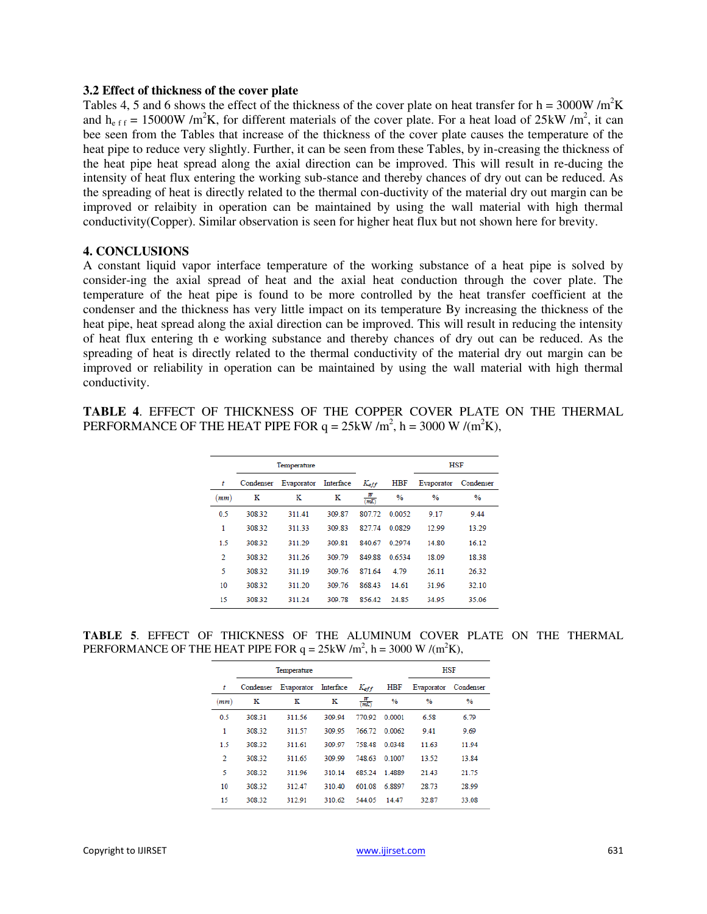#### **3.2 Effect of thickness of the cover plate**

Tables 4, 5 and 6 shows the effect of the thickness of the cover plate on heat transfer for  $h = 3000W/m<sup>2</sup>K$ and  $h_{eff} = 15000W/m^2K$ , for different materials of the cover plate. For a heat load of 25kW/m<sup>2</sup>, it can bee seen from the Tables that increase of the thickness of the cover plate causes the temperature of the heat pipe to reduce very slightly. Further, it can be seen from these Tables, by in-creasing the thickness of the heat pipe heat spread along the axial direction can be improved. This will result in re-ducing the intensity of heat flux entering the working sub-stance and thereby chances of dry out can be reduced. As the spreading of heat is directly related to the thermal con-ductivity of the material dry out margin can be improved or relaibity in operation can be maintained by using the wall material with high thermal conductivity(Copper). Similar observation is seen for higher heat flux but not shown here for brevity.

#### **4. CONCLUSIONS**

A constant liquid vapor interface temperature of the working substance of a heat pipe is solved by consider-ing the axial spread of heat and the axial heat conduction through the cover plate. The temperature of the heat pipe is found to be more controlled by the heat transfer coefficient at the condenser and the thickness has very little impact on its temperature By increasing the thickness of the heat pipe, heat spread along the axial direction can be improved. This will result in reducing the intensity of heat flux entering th e working substance and thereby chances of dry out can be reduced. As the spreading of heat is directly related to the thermal conductivity of the material dry out margin can be improved or reliability in operation can be maintained by using the wall material with high thermal conductivity.

**TABLE 4**. EFFECT OF THICKNESS OF THE COPPER COVER PLATE ON THE THERMAL PERFORMANCE OF THE HEAT PIPE FOR  $q = 25 \text{kW/m}^2$ ,  $h = 3000 \text{ W/(m}^2\text{K)}$ ,

|                | Temperature |            |           |         |               | HSF           |               |  |
|----------------|-------------|------------|-----------|---------|---------------|---------------|---------------|--|
| t              | Condenser   | Evaporator | Interface | Keff    | HBF           | Evaporator    | Condenser     |  |
| (mm)           | ĸ           | ĸ          | ĸ         | ₩<br>mK | $\frac{9}{6}$ | $\frac{0}{2}$ | $\frac{9}{6}$ |  |
| 0.5            | 308 32      | 311.41     | 309.87    | 807 72  | 0.0052        | 9.17          | 9.44          |  |
| 1              | 308 32      | 311.33     | 309.83    | 827.74  | 0.0829        | 12.99         | 13.29         |  |
| 1.5            | 308.32      | 311.29     | 309.81    | 840.67  | 0 2974        | 14.80         | 16.12         |  |
| $\overline{2}$ | 308 32      | 311.26     | 309 79    | 849.88  | 0.6534        | 18.09         | 18.38         |  |
| 5              | 308.32      | 311.19     | 309.76    | 871.64  | 4.79          | 26.11         | 26.32         |  |
| 10             | 308 32      | 311 20     | 309 76    | 86843   | 14.61         | 31.96         | 32.10         |  |
| 15             | 308 32      | 311.24     | 309 78    | 85642   | 24.85         | 34.95         | 35.06         |  |
|                |             |            |           |         |               |               |               |  |

**TABLE 5**. EFFECT OF THICKNESS OF THE ALUMINUM COVER PLATE ON THE THERMAL PERFORMANCE OF THE HEAT PIPE FOR  $q = 25 \text{kW/m}^2$ ,  $h = 3000 \text{ W/(m}^2 \text{K)}$ ,

|     | Temperature |            |           | <b>HSF</b> |               |               |               |
|-----|-------------|------------|-----------|------------|---------------|---------------|---------------|
| t   | Condenser   | Evaporator | Interface | Keff       | <b>HBF</b>    | Evaporator    | Condenser     |
| mm) | ĸ           | ĸ          | ĸ         | ₩<br>mK    | $\frac{9}{6}$ | $\frac{9}{6}$ | $\frac{9}{6}$ |
| 0.5 | 308 31      | 311.56     | 309 94    | 770.92     | 0 0001        | 6.58          | 6.79          |
| 1   | 308.32      | 311.57     | 309.95    | 766.72     | 0.0062        | 9.41          | 9.69          |
| 1.5 | 308 32      | 311 61     | 309 97    | 75848      | 0.0348        | 11.63         | 11.94         |
| 2   | 308 32      | 311.65     | 309.99    | 748.63     | 0.1007        | 13.52         | 13.84         |
| 5   | 308.32      | 311.96     | 310.14    | 685.24     | 1.4889        | 21.43         | 21.75         |
| 10  | 308 32      | 312.47     | 310 40    | 601 08     | 68897         | 28.73         | 28.99         |
| 15  | 308 32      | 312.91     | 310.62    | 544.05     | 14.47         | 32.87         | 33.08         |